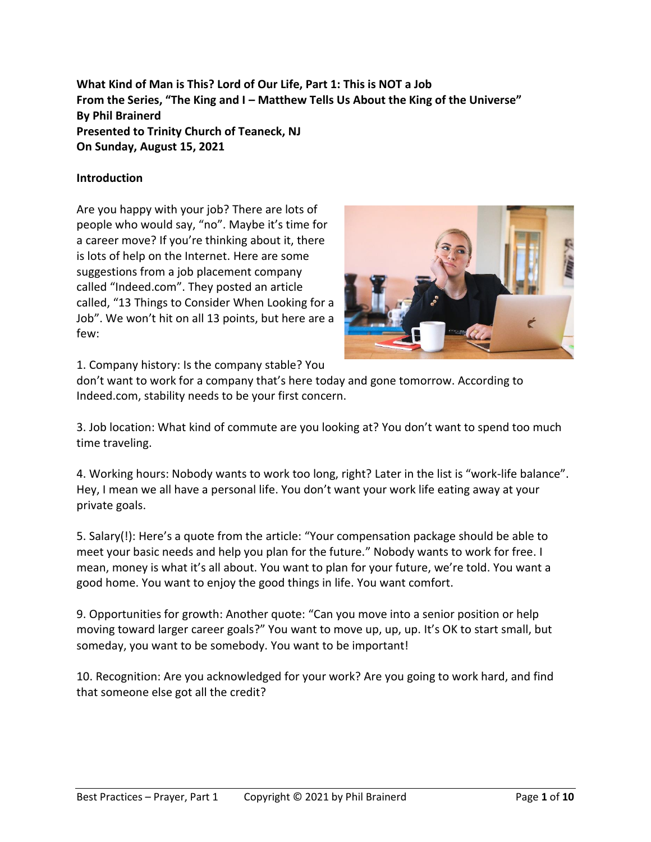**What Kind of Man is This? Lord of Our Life, Part 1: This is NOT a Job From the Series, "The King and I – Matthew Tells Us About the King of the Universe" By Phil Brainerd Presented to Trinity Church of Teaneck, NJ On Sunday, August 15, 2021**

#### **Introduction**

Are you happy with your job? There are lots of people who would say, "no". Maybe it's time for a career move? If you're thinking about it, there is lots of help on the Internet. Here are some suggestions from a job placement company called "Indeed.com". They posted an article called, "13 Things to Consider When Looking for a Job". We won't hit on all 13 points, but here are a few:



1. Company history: Is the company stable? You

don't want to work for a company that's here today and gone tomorrow. According to Indeed.com, stability needs to be your first concern.

3. Job location: What kind of commute are you looking at? You don't want to spend too much time traveling.

4. Working hours: Nobody wants to work too long, right? Later in the list is "work-life balance". Hey, I mean we all have a personal life. You don't want your work life eating away at your private goals.

5. Salary(!): Here's a quote from the article: "Your compensation package should be able to meet your basic needs and help you plan for the future." Nobody wants to work for free. I mean, money is what it's all about. You want to plan for your future, we're told. You want a good home. You want to enjoy the good things in life. You want comfort.

9. Opportunities for growth: Another quote: "Can you move into a senior position or help moving toward larger career goals?" You want to move up, up, up. It's OK to start small, but someday, you want to be somebody. You want to be important!

10. Recognition: Are you acknowledged for your work? Are you going to work hard, and find that someone else got all the credit?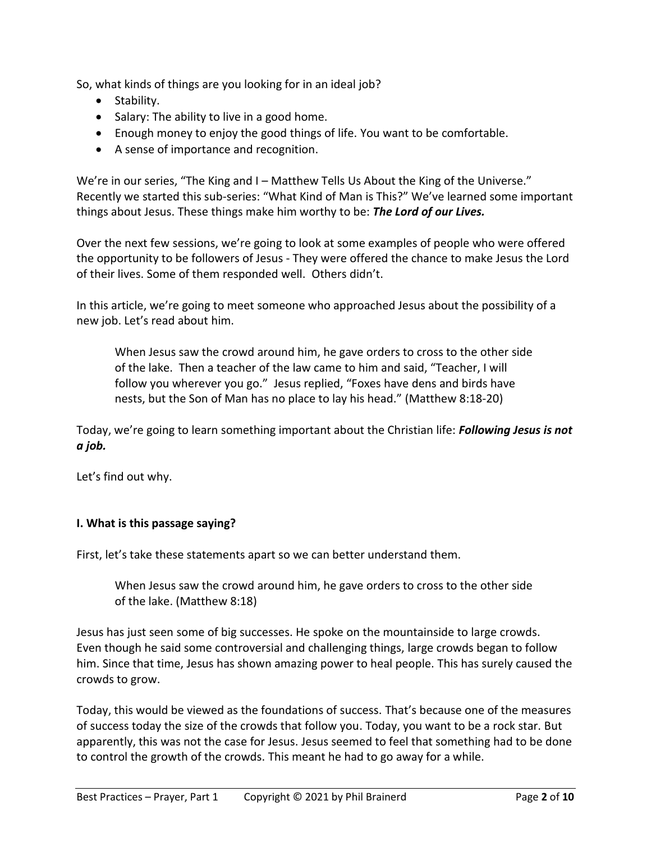So, what kinds of things are you looking for in an ideal job?

- Stability.
- Salary: The ability to live in a good home.
- Enough money to enjoy the good things of life. You want to be comfortable.
- A sense of importance and recognition.

We're in our series, "The King and I - Matthew Tells Us About the King of the Universe." Recently we started this sub-series: "What Kind of Man is This?" We've learned some important things about Jesus. These things make him worthy to be: *The Lord of our Lives.*

Over the next few sessions, we're going to look at some examples of people who were offered the opportunity to be followers of Jesus - They were offered the chance to make Jesus the Lord of their lives. Some of them responded well. Others didn't.

In this article, we're going to meet someone who approached Jesus about the possibility of a new job. Let's read about him.

When Jesus saw the crowd around him, he gave orders to cross to the other side of the lake. Then a teacher of the law came to him and said, "Teacher, I will follow you wherever you go." Jesus replied, "Foxes have dens and birds have nests, but the Son of Man has no place to lay his head." (Matthew 8:18-20)

Today, we're going to learn something important about the Christian life: *Following Jesus is not a job.*

Let's find out why.

#### **I. What is this passage saying?**

First, let's take these statements apart so we can better understand them.

When Jesus saw the crowd around him, he gave orders to cross to the other side of the lake. (Matthew 8:18)

Jesus has just seen some of big successes. He spoke on the mountainside to large crowds. Even though he said some controversial and challenging things, large crowds began to follow him. Since that time, Jesus has shown amazing power to heal people. This has surely caused the crowds to grow.

Today, this would be viewed as the foundations of success. That's because one of the measures of success today the size of the crowds that follow you. Today, you want to be a rock star. But apparently, this was not the case for Jesus. Jesus seemed to feel that something had to be done to control the growth of the crowds. This meant he had to go away for a while.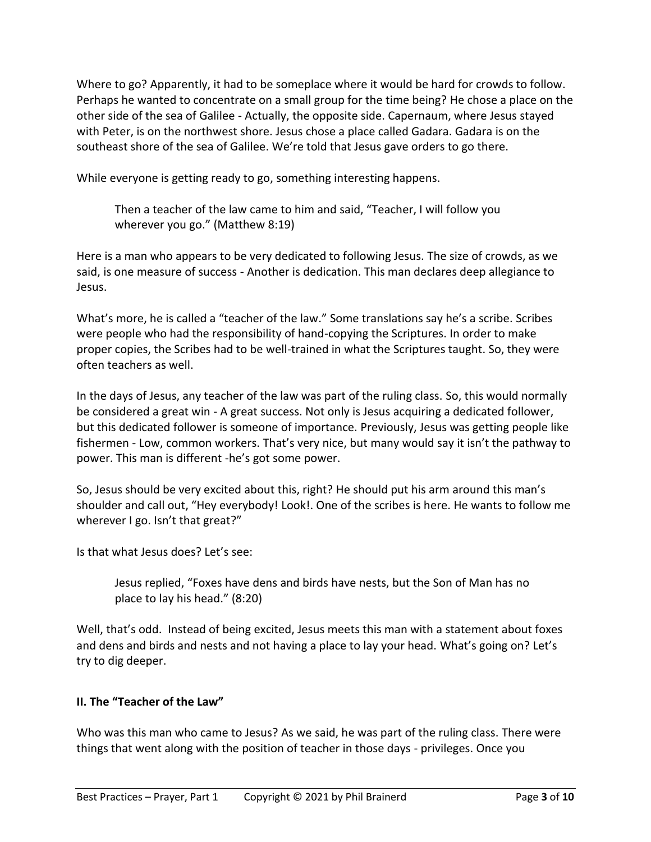Where to go? Apparently, it had to be someplace where it would be hard for crowds to follow. Perhaps he wanted to concentrate on a small group for the time being? He chose a place on the other side of the sea of Galilee - Actually, the opposite side. Capernaum, where Jesus stayed with Peter, is on the northwest shore. Jesus chose a place called Gadara. Gadara is on the southeast shore of the sea of Galilee. We're told that Jesus gave orders to go there.

While everyone is getting ready to go, something interesting happens.

Then a teacher of the law came to him and said, "Teacher, I will follow you wherever you go." (Matthew 8:19)

Here is a man who appears to be very dedicated to following Jesus. The size of crowds, as we said, is one measure of success - Another is dedication. This man declares deep allegiance to Jesus.

What's more, he is called a "teacher of the law." Some translations say he's a scribe. Scribes were people who had the responsibility of hand-copying the Scriptures. In order to make proper copies, the Scribes had to be well-trained in what the Scriptures taught. So, they were often teachers as well.

In the days of Jesus, any teacher of the law was part of the ruling class. So, this would normally be considered a great win - A great success. Not only is Jesus acquiring a dedicated follower, but this dedicated follower is someone of importance. Previously, Jesus was getting people like fishermen - Low, common workers. That's very nice, but many would say it isn't the pathway to power. This man is different -he's got some power.

So, Jesus should be very excited about this, right? He should put his arm around this man's shoulder and call out, "Hey everybody! Look!. One of the scribes is here. He wants to follow me wherever I go. Isn't that great?"

Is that what Jesus does? Let's see:

Jesus replied, "Foxes have dens and birds have nests, but the Son of Man has no place to lay his head." (8:20)

Well, that's odd. Instead of being excited, Jesus meets this man with a statement about foxes and dens and birds and nests and not having a place to lay your head. What's going on? Let's try to dig deeper.

# **II. The "Teacher of the Law"**

Who was this man who came to Jesus? As we said, he was part of the ruling class. There were things that went along with the position of teacher in those days - privileges. Once you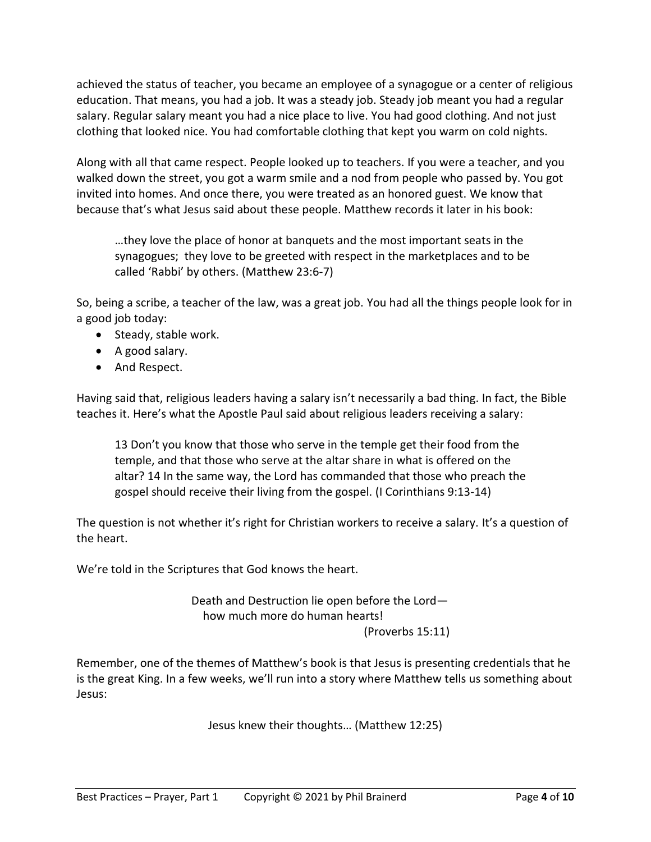achieved the status of teacher, you became an employee of a synagogue or a center of religious education. That means, you had a job. It was a steady job. Steady job meant you had a regular salary. Regular salary meant you had a nice place to live. You had good clothing. And not just clothing that looked nice. You had comfortable clothing that kept you warm on cold nights.

Along with all that came respect. People looked up to teachers. If you were a teacher, and you walked down the street, you got a warm smile and a nod from people who passed by. You got invited into homes. And once there, you were treated as an honored guest. We know that because that's what Jesus said about these people. Matthew records it later in his book:

…they love the place of honor at banquets and the most important seats in the synagogues; they love to be greeted with respect in the marketplaces and to be called 'Rabbi' by others. (Matthew 23:6-7)

So, being a scribe, a teacher of the law, was a great job. You had all the things people look for in a good job today:

- Steady, stable work.
- A good salary.
- And Respect.

Having said that, religious leaders having a salary isn't necessarily a bad thing. In fact, the Bible teaches it. Here's what the Apostle Paul said about religious leaders receiving a salary:

13 Don't you know that those who serve in the temple get their food from the temple, and that those who serve at the altar share in what is offered on the altar? 14 In the same way, the Lord has commanded that those who preach the gospel should receive their living from the gospel. (I Corinthians 9:13-14)

The question is not whether it's right for Christian workers to receive a salary. It's a question of the heart.

We're told in the Scriptures that God knows the heart.

Death and Destruction lie open before the Lord how much more do human hearts! (Proverbs 15:11)

Remember, one of the themes of Matthew's book is that Jesus is presenting credentials that he is the great King. In a few weeks, we'll run into a story where Matthew tells us something about Jesus:

Jesus knew their thoughts… (Matthew 12:25)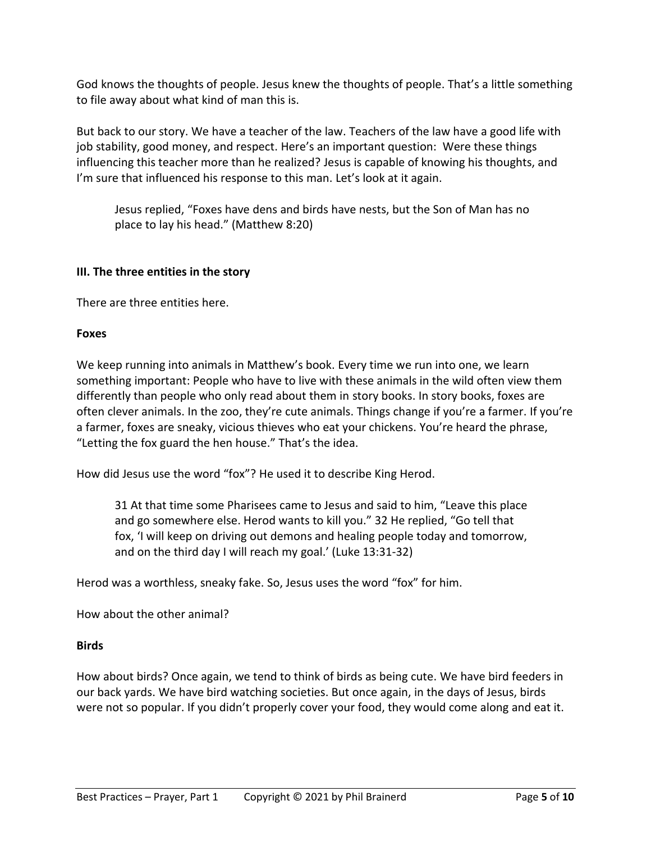God knows the thoughts of people. Jesus knew the thoughts of people. That's a little something to file away about what kind of man this is.

But back to our story. We have a teacher of the law. Teachers of the law have a good life with job stability, good money, and respect. Here's an important question: Were these things influencing this teacher more than he realized? Jesus is capable of knowing his thoughts, and I'm sure that influenced his response to this man. Let's look at it again.

Jesus replied, "Foxes have dens and birds have nests, but the Son of Man has no place to lay his head." (Matthew 8:20)

#### **III. The three entities in the story**

There are three entities here.

#### **Foxes**

We keep running into animals in Matthew's book. Every time we run into one, we learn something important: People who have to live with these animals in the wild often view them differently than people who only read about them in story books. In story books, foxes are often clever animals. In the zoo, they're cute animals. Things change if you're a farmer. If you're a farmer, foxes are sneaky, vicious thieves who eat your chickens. You're heard the phrase, "Letting the fox guard the hen house." That's the idea.

How did Jesus use the word "fox"? He used it to describe King Herod.

31 At that time some Pharisees came to Jesus and said to him, "Leave this place and go somewhere else. Herod wants to kill you." 32 He replied, "Go tell that fox, 'I will keep on driving out demons and healing people today and tomorrow, and on the third day I will reach my goal.' (Luke 13:31-32)

Herod was a worthless, sneaky fake. So, Jesus uses the word "fox" for him.

How about the other animal?

## **Birds**

How about birds? Once again, we tend to think of birds as being cute. We have bird feeders in our back yards. We have bird watching societies. But once again, in the days of Jesus, birds were not so popular. If you didn't properly cover your food, they would come along and eat it.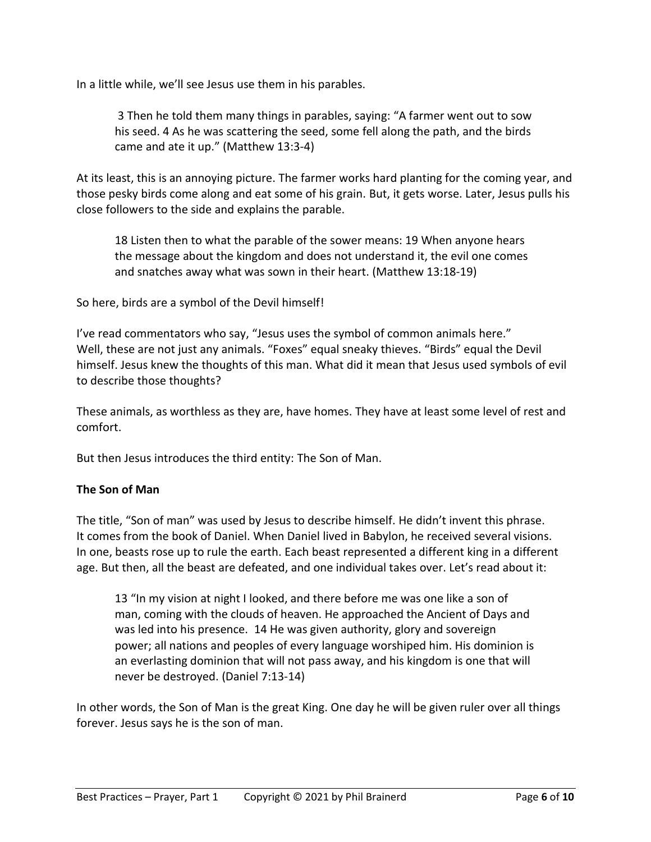In a little while, we'll see Jesus use them in his parables.

3 Then he told them many things in parables, saying: "A farmer went out to sow his seed. 4 As he was scattering the seed, some fell along the path, and the birds came and ate it up." (Matthew 13:3-4)

At its least, this is an annoying picture. The farmer works hard planting for the coming year, and those pesky birds come along and eat some of his grain. But, it gets worse. Later, Jesus pulls his close followers to the side and explains the parable.

18 Listen then to what the parable of the sower means: 19 When anyone hears the message about the kingdom and does not understand it, the evil one comes and snatches away what was sown in their heart. (Matthew 13:18-19)

So here, birds are a symbol of the Devil himself!

I've read commentators who say, "Jesus uses the symbol of common animals here." Well, these are not just any animals. "Foxes" equal sneaky thieves. "Birds" equal the Devil himself. Jesus knew the thoughts of this man. What did it mean that Jesus used symbols of evil to describe those thoughts?

These animals, as worthless as they are, have homes. They have at least some level of rest and comfort.

But then Jesus introduces the third entity: The Son of Man.

## **The Son of Man**

The title, "Son of man" was used by Jesus to describe himself. He didn't invent this phrase. It comes from the book of Daniel. When Daniel lived in Babylon, he received several visions. In one, beasts rose up to rule the earth. Each beast represented a different king in a different age. But then, all the beast are defeated, and one individual takes over. Let's read about it:

13 "In my vision at night I looked, and there before me was one like a son of man, coming with the clouds of heaven. He approached the Ancient of Days and was led into his presence. 14 He was given authority, glory and sovereign power; all nations and peoples of every language worshiped him. His dominion is an everlasting dominion that will not pass away, and his kingdom is one that will never be destroyed. (Daniel 7:13-14)

In other words, the Son of Man is the great King. One day he will be given ruler over all things forever. Jesus says he is the son of man.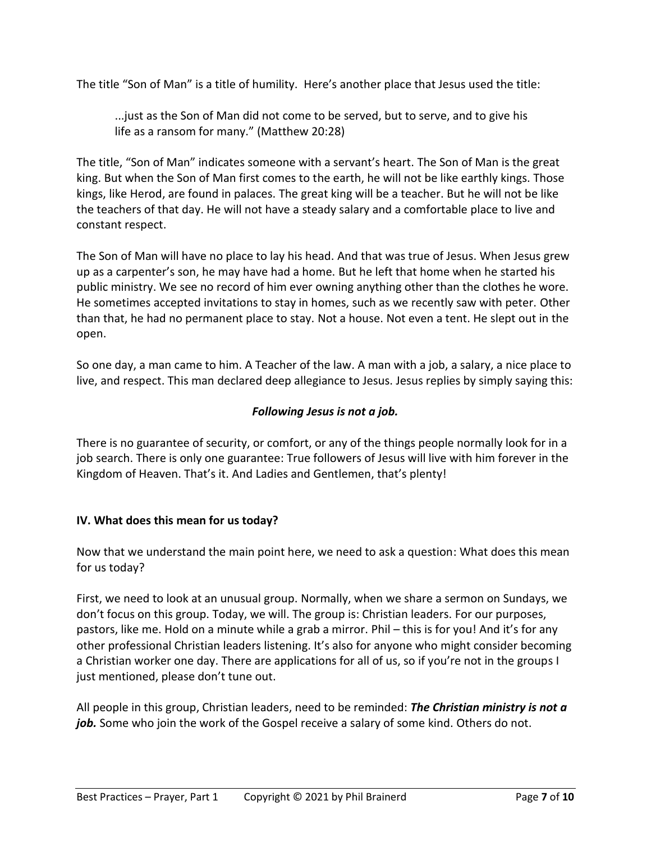The title "Son of Man" is a title of humility. Here's another place that Jesus used the title:

...just as the Son of Man did not come to be served, but to serve, and to give his life as a ransom for many." (Matthew 20:28)

The title, "Son of Man" indicates someone with a servant's heart. The Son of Man is the great king. But when the Son of Man first comes to the earth, he will not be like earthly kings. Those kings, like Herod, are found in palaces. The great king will be a teacher. But he will not be like the teachers of that day. He will not have a steady salary and a comfortable place to live and constant respect.

The Son of Man will have no place to lay his head. And that was true of Jesus. When Jesus grew up as a carpenter's son, he may have had a home. But he left that home when he started his public ministry. We see no record of him ever owning anything other than the clothes he wore. He sometimes accepted invitations to stay in homes, such as we recently saw with peter. Other than that, he had no permanent place to stay. Not a house. Not even a tent. He slept out in the open.

So one day, a man came to him. A Teacher of the law. A man with a job, a salary, a nice place to live, and respect. This man declared deep allegiance to Jesus. Jesus replies by simply saying this:

## *Following Jesus is not a job.*

There is no guarantee of security, or comfort, or any of the things people normally look for in a job search. There is only one guarantee: True followers of Jesus will live with him forever in the Kingdom of Heaven. That's it. And Ladies and Gentlemen, that's plenty!

## **IV. What does this mean for us today?**

Now that we understand the main point here, we need to ask a question: What does this mean for us today?

First, we need to look at an unusual group. Normally, when we share a sermon on Sundays, we don't focus on this group. Today, we will. The group is: Christian leaders. For our purposes, pastors, like me. Hold on a minute while a grab a mirror. Phil – this is for you! And it's for any other professional Christian leaders listening. It's also for anyone who might consider becoming a Christian worker one day. There are applications for all of us, so if you're not in the groups I just mentioned, please don't tune out.

All people in this group, Christian leaders, need to be reminded: *The Christian ministry is not a job.* Some who join the work of the Gospel receive a salary of some kind. Others do not.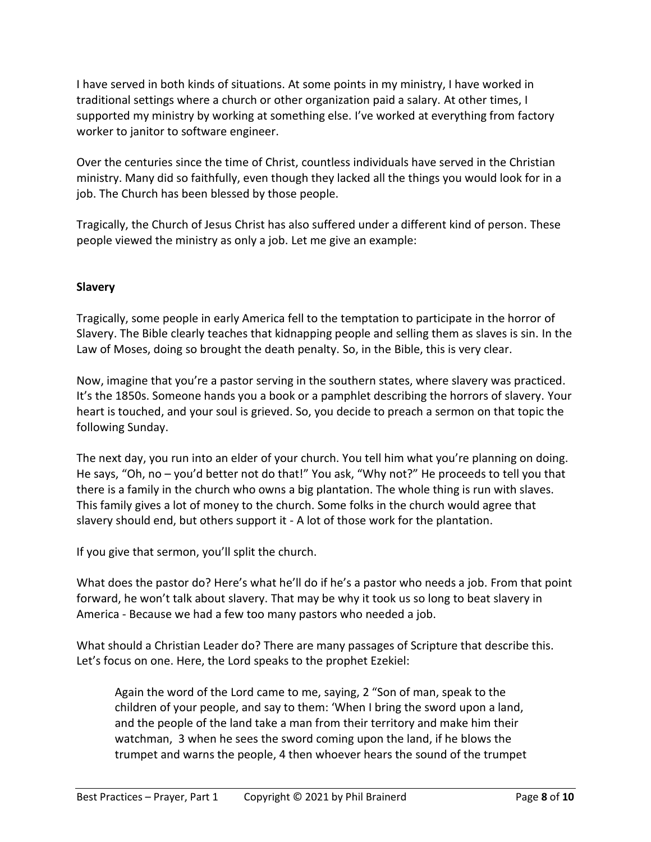I have served in both kinds of situations. At some points in my ministry, I have worked in traditional settings where a church or other organization paid a salary. At other times, I supported my ministry by working at something else. I've worked at everything from factory worker to janitor to software engineer.

Over the centuries since the time of Christ, countless individuals have served in the Christian ministry. Many did so faithfully, even though they lacked all the things you would look for in a job. The Church has been blessed by those people.

Tragically, the Church of Jesus Christ has also suffered under a different kind of person. These people viewed the ministry as only a job. Let me give an example:

## **Slavery**

Tragically, some people in early America fell to the temptation to participate in the horror of Slavery. The Bible clearly teaches that kidnapping people and selling them as slaves is sin. In the Law of Moses, doing so brought the death penalty. So, in the Bible, this is very clear.

Now, imagine that you're a pastor serving in the southern states, where slavery was practiced. It's the 1850s. Someone hands you a book or a pamphlet describing the horrors of slavery. Your heart is touched, and your soul is grieved. So, you decide to preach a sermon on that topic the following Sunday.

The next day, you run into an elder of your church. You tell him what you're planning on doing. He says, "Oh, no – you'd better not do that!" You ask, "Why not?" He proceeds to tell you that there is a family in the church who owns a big plantation. The whole thing is run with slaves. This family gives a lot of money to the church. Some folks in the church would agree that slavery should end, but others support it - A lot of those work for the plantation.

If you give that sermon, you'll split the church.

What does the pastor do? Here's what he'll do if he's a pastor who needs a job. From that point forward, he won't talk about slavery. That may be why it took us so long to beat slavery in America - Because we had a few too many pastors who needed a job.

What should a Christian Leader do? There are many passages of Scripture that describe this. Let's focus on one. Here, the Lord speaks to the prophet Ezekiel:

Again the word of the Lord came to me, saying, 2 "Son of man, speak to the children of your people, and say to them: 'When I bring the sword upon a land, and the people of the land take a man from their territory and make him their watchman, 3 when he sees the sword coming upon the land, if he blows the trumpet and warns the people, 4 then whoever hears the sound of the trumpet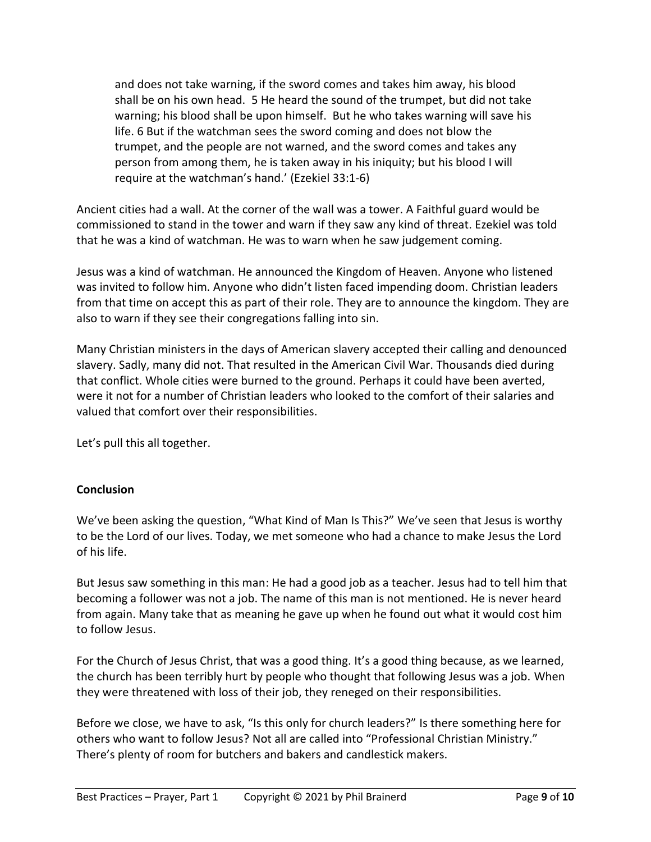and does not take warning, if the sword comes and takes him away, his blood shall be on his own head. 5 He heard the sound of the trumpet, but did not take warning; his blood shall be upon himself. But he who takes warning will save his life. 6 But if the watchman sees the sword coming and does not blow the trumpet, and the people are not warned, and the sword comes and takes any person from among them, he is taken away in his iniquity; but his blood I will require at the watchman's hand.' (Ezekiel 33:1-6)

Ancient cities had a wall. At the corner of the wall was a tower. A Faithful guard would be commissioned to stand in the tower and warn if they saw any kind of threat. Ezekiel was told that he was a kind of watchman. He was to warn when he saw judgement coming.

Jesus was a kind of watchman. He announced the Kingdom of Heaven. Anyone who listened was invited to follow him. Anyone who didn't listen faced impending doom. Christian leaders from that time on accept this as part of their role. They are to announce the kingdom. They are also to warn if they see their congregations falling into sin.

Many Christian ministers in the days of American slavery accepted their calling and denounced slavery. Sadly, many did not. That resulted in the American Civil War. Thousands died during that conflict. Whole cities were burned to the ground. Perhaps it could have been averted, were it not for a number of Christian leaders who looked to the comfort of their salaries and valued that comfort over their responsibilities.

Let's pull this all together.

# **Conclusion**

We've been asking the question, "What Kind of Man Is This?" We've seen that Jesus is worthy to be the Lord of our lives. Today, we met someone who had a chance to make Jesus the Lord of his life.

But Jesus saw something in this man: He had a good job as a teacher. Jesus had to tell him that becoming a follower was not a job. The name of this man is not mentioned. He is never heard from again. Many take that as meaning he gave up when he found out what it would cost him to follow Jesus.

For the Church of Jesus Christ, that was a good thing. It's a good thing because, as we learned, the church has been terribly hurt by people who thought that following Jesus was a job. When they were threatened with loss of their job, they reneged on their responsibilities.

Before we close, we have to ask, "Is this only for church leaders?" Is there something here for others who want to follow Jesus? Not all are called into "Professional Christian Ministry." There's plenty of room for butchers and bakers and candlestick makers.